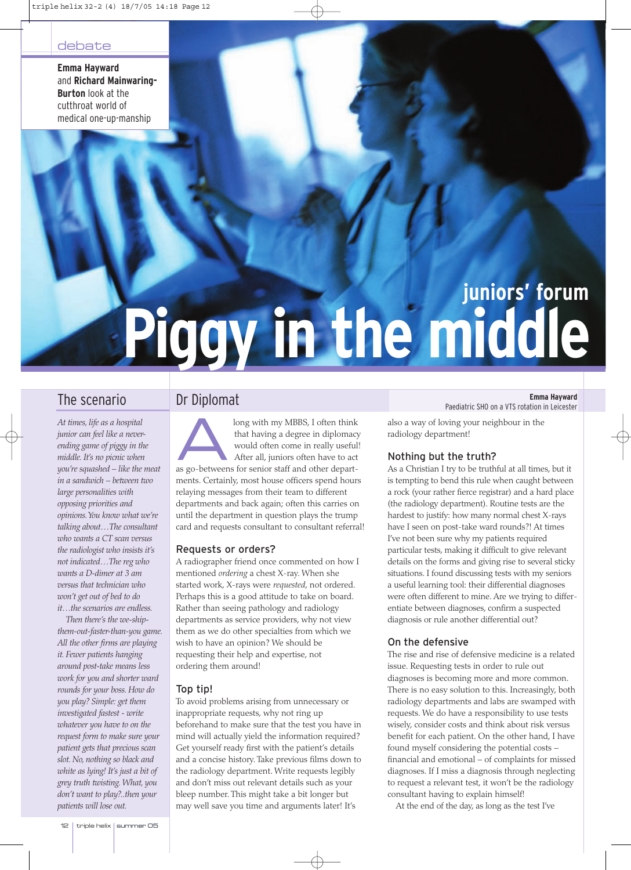**Emma Hayward** and **Richard Mainwaring-Burton** look at the cutthroat world of medical one-up-manship

# **juniors' forum Piggy in the middle**

*At times, life as a hospital junior can feel like a neverending game of piggy in the middle. It's no picnic when you're squashed – like the meat in a sandwich – between two large personalities with opposing priorities and opinions.You know what we're talking about…The consultant who wants a CT scan versus the radiologist who insists it's not indicated…The reg who wants a D-dimer at 3 am versus that technician who won't get out of bed to do it…the scenarios are endless.*

*Then there's the we-shipthem-out-faster-than-you game. All the other firms are playing it. Fewer patients hanging around post-take means less work for you and shorter ward rounds for your boss. How do you play? Simple: get them investigated fastest - write whatever you have to on the request form to make sure your patient gets that precious scan slot. No, nothing so black and white as lying! It's just a bit of grey truth twisting. What, you don't want to play?..then your patients will lose out.*

long with my MBBS, I often think<br>that having a degree in diplomacy<br>would often come in really useful<br>After all, juniors often have to act<br>as  $\infty$  betweens for sonics staff and other depart. that having a degree in diplomacy would often come in really useful! After all, juniors often have to act as go-betweens for senior staff and other departments. Certainly, most house officers spend hours relaying messages from their team to different departments and back again; often this carries on until the department in question plays the trump card and requests consultant to consultant referral!

# Requests or orders?

A radiographer friend once commented on how I mentioned *ordering* a chest X-ray. When she started work, X-rays were *requested*, not ordered. Perhaps this is a good attitude to take on board. Rather than seeing pathology and radiology departments as service providers, why not view them as we do other specialties from which we wish to have an opinion? We should be requesting their help and expertise, not ordering them around!

# Top tip!

To avoid problems arising from unnecessary or inappropriate requests, why not ring up beforehand to make sure that the test you have in mind will actually yield the information required? Get yourself ready first with the patient's details and a concise history. Take previous films down to the radiology department. Write requests legibly and don't miss out relevant details such as your bleep number. This might take a bit longer but may well save you time and arguments later! It's

**The scenario Emma Hayward Dr Diplomat Emma Hayward Emma Hayward Emma Hayward Emma Hayward Emma Hayward** 

also a way of loving your neighbour in the radiology department!

# Nothing but the truth?

As a Christian I try to be truthful at all times, but it is tempting to bend this rule when caught between a rock (your rather fierce registrar) and a hard place (the radiology department). Routine tests are the hardest to justify: how many normal chest X-rays have I seen on post-take ward rounds?! At times I've not been sure why my patients required particular tests, making it difficult to give relevant details on the forms and giving rise to several sticky situations. I found discussing tests with my seniors a useful learning tool: their differential diagnoses were often different to mine. Are we trying to differentiate between diagnoses, confirm a suspected diagnosis or rule another differential out?

# On the defensive

The rise and rise of defensive medicine is a related issue. Requesting tests in order to rule out diagnoses is becoming more and more common. There is no easy solution to this. Increasingly, both radiology departments and labs are swamped with requests. We do have a responsibility to use tests wisely, consider costs and think about risk versus benefit for each patient. On the other hand, I have found myself considering the potential costs – financial and emotional – of complaints for missed diagnoses. If I miss a diagnosis through neglecting to request a relevant test, it won't be the radiology consultant having to explain himself!

At the end of the day, as long as the test I've